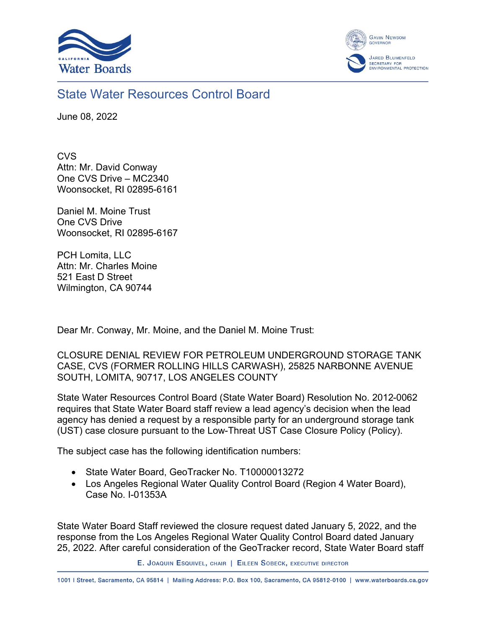



## State Water Resources Control Board

June 08, 2022

**CVS** Attn: Mr. David Conway One CVS Drive – MC2340 Woonsocket, RI 02895-6161

Daniel M. Moine Trust One CVS Drive Woonsocket, RI 02895-6167

PCH Lomita, LLC Attn: Mr. Charles Moine 521 East D Street Wilmington, CA 90744

Dear Mr. Conway, Mr. Moine, and the Daniel M. Moine Trust:

CLOSURE DENIAL REVIEW FOR PETROLEUM UNDERGROUND STORAGE TANK CASE, CVS (FORMER ROLLING HILLS CARWASH), 25825 NARBONNE AVENUE SOUTH, LOMITA, 90717, LOS ANGELES COUNTY

State Water Resources Control Board (State Water Board) Resolution No. 2012-0062 requires that State Water Board staff review a lead agency's decision when the lead agency has denied a request by a responsible party for an underground storage tank (UST) case closure pursuant to the Low-Threat UST Case Closure Policy (Policy).

The subject case has the following identification numbers:

- State Water Board, GeoTracker No. T10000013272
- · Los Angeles Regional Water Quality Control Board (Region 4 Water Board), Case No. I-01353A

State Water Board Staff reviewed the closure request dated January 5, 2022, and the response from the Los Angeles Regional Water Quality Control Board dated January 25, 2022. After careful consideration of the GeoTracker record, State Water Board staff

E. JOAQUIN ESQUIVEL, CHAIR | EILEEN SOBECK, EXECUTIVE DIRECTOR

1001 | Street, Sacramento, CA 95814 | Mailing Address: P.O. Box 100, Sacramento, CA 95812-0100 | www.waterboards.ca.gov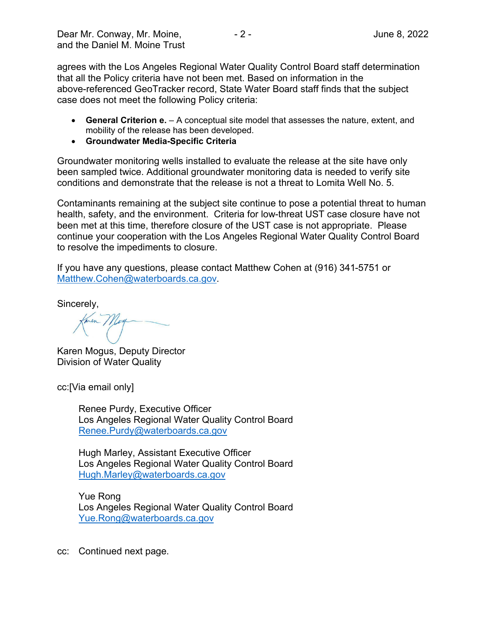agrees with the Los Angeles Regional Water Quality Control Board staff determination that all the Policy criteria have not been met. Based on information in the above-referenced GeoTracker record, State Water Board staff finds that the subject case does not meet the following Policy criteria:

- · **General Criterion e.** A conceptual site model that assesses the nature, extent, and mobility of the release has been developed.
- · **Groundwater Media-Specific Criteria**

Groundwater monitoring wells installed to evaluate the release at the site have only been sampled twice. Additional groundwater monitoring data is needed to verify site conditions and demonstrate that the release is not a threat to Lomita Well No. 5.

Contaminants remaining at the subject site continue to pose a potential threat to human health, safety, and the environment. Criteria for low-threat UST case closure have not been met at this time, therefore closure of the UST case is not appropriate. Please continue your cooperation with the Los Angeles Regional Water Quality Control Board to resolve the impediments to closure.

If you have any questions, please contact Matthew Cohen at (916) 341-5751 or [Matthew.Cohen@waterboards.ca.gov.](mailto:Matthew.Cohen@waterboards.ca.gov)

Sincerely,

Karen Mogus, Deputy Director Division of Water Quality

cc:[Via email only]

Renee Purdy, Executive Officer Los Angeles Regional Water Quality Control Board [Renee.Purdy@waterboards.ca.gov](mailto:Renee.Purdy@waterboards.ca.gov)

Hugh Marley, Assistant Executive Officer Los Angeles Regional Water Quality Control Board [Hugh.Marley@waterboards.ca.gov](mailto:Hugh.Marley@waterboards.ca.gov)

Yue Rong Los Angeles Regional Water Quality Control Board [Yue.Rong@waterboards.ca.gov](mailto:Yue.Rong@waterboards.ca.gov)

cc: Continued next page.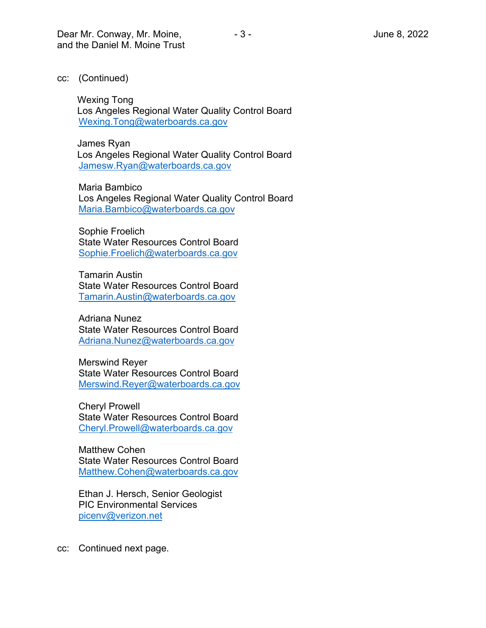cc: (Continued)

Wexing Tong Los Angeles Regional Water Quality Control Board [Wexing.Tong@waterboards.ca.gov](mailto:Wexing.Tong@waterboards.ca.gov)

James Ryan Los Angeles Regional Water Quality Control Board [Jamesw.Ryan@waterboards.ca.gov](mailto:Jamesw.Ryan@waterboards.ca.gov)

Maria Bambico Los Angeles Regional Water Quality Control Board [Maria.Bambico@waterboards.ca.gov](mailto:Maria.Bambico@waterboards.ca.gov)

Sophie Froelich State Water Resources Control Board [Sophie.Froelich@waterboards.ca.gov](mailto:Sophie.Froelich@waterboards.ca.gov)

Tamarin Austin State Water Resources Control Board [Tamarin.Austin@waterboards.ca.gov](mailto:Tamarin.Austin@waterboards.ca.gov)

Adriana Nunez State Water Resources Control Board [Adriana.Nunez@waterboards.ca.gov](mailto:Adriana.Nunez@waterboards.ca.gov)

Merswind Reyer State Water Resources Control Board [Merswind.Reyer@waterboards.ca.gov](mailto:Merswind.Reyer@waterboards.ca.gov)

Cheryl Prowell State Water Resources Control Board [Cheryl.Prowell@waterboards.ca.gov](mailto:Cheryl.Prowell@waterboards.ca.gov)

Matthew Cohen State Water Resources Control Board [Matthew.Cohen@waterboards.ca.gov](mailto:Matthew.Cohen@waterboards.ca.gov)

Ethan J. Hersch, Senior Geologist PIC Environmental Services [picenv@verizon.net](mailto:picenv@verizon.net)

cc: Continued next page.